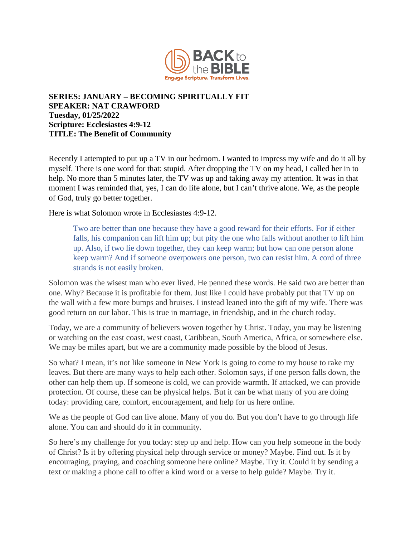

## **SERIES: JANUARY – BECOMING SPIRITUALLY FIT SPEAKER: NAT CRAWFORD Tuesday, 01/25/2022 Scripture: Ecclesiastes 4:9-12 TITLE: The Benefit of Community**

Recently I attempted to put up a TV in our bedroom. I wanted to impress my wife and do it all by myself. There is one word for that: stupid. After dropping the TV on my head, I called her in to help. No more than 5 minutes later, the TV was up and taking away my attention. It was in that moment I was reminded that, yes, I can do life alone, but I can't thrive alone. We, as the people of God, truly go better together.

Here is what Solomon wrote in Ecclesiastes 4:9-12.

Two are better than one because they have a good reward for their efforts. For if either falls, his companion can lift him up; but pity the one who falls without another to lift him up. Also, if two lie down together, they can keep warm; but how can one person alone keep warm? And if someone overpowers one person, two can resist him. A cord of three strands is not easily broken.

Solomon was the wisest man who ever lived. He penned these words. He said two are better than one. Why? Because it is profitable for them. Just like I could have probably put that TV up on the wall with a few more bumps and bruises. I instead leaned into the gift of my wife. There was good return on our labor. This is true in marriage, in friendship, and in the church today.

Today, we are a community of believers woven together by Christ. Today, you may be listening or watching on the east coast, west coast, Caribbean, South America, Africa, or somewhere else. We may be miles apart, but we are a community made possible by the blood of Jesus.

So what? I mean, it's not like someone in New York is going to come to my house to rake my leaves. But there are many ways to help each other. Solomon says, if one person falls down, the other can help them up. If someone is cold, we can provide warmth. If attacked, we can provide protection. Of course, these can be physical helps. But it can be what many of you are doing today: providing care, comfort, encouragement, and help for us here online.

We as the people of God can live alone. Many of you do. But you don't have to go through life alone. You can and should do it in community.

So here's my challenge for you today: step up and help. How can you help someone in the body of Christ? Is it by offering physical help through service or money? Maybe. Find out. Is it by encouraging, praying, and coaching someone here online? Maybe. Try it. Could it by sending a text or making a phone call to offer a kind word or a verse to help guide? Maybe. Try it.